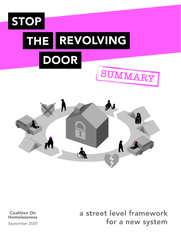



**Coalition On Homelessness**  a street level framework for a new system

September 2020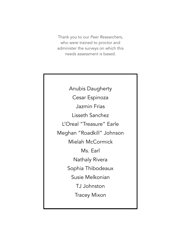Thank you to our *Peer Researchers,* who were trained to proctor and administer the surveys on which this needs assessment is based.

Anubis Daugherty Cesar Espinoza Jazmin Frias Lisseth Sanchez L'Oreal "Treasure" Earle Meghan "Roadkill" Johnson Mielah McCormick Ms. Earl Nathaly Rivera Sophia Thibodeaux Susie Melkonian TJ Johnston Tracey Mixon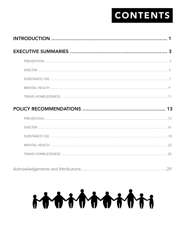# CONTENTS

| 3 |
|---|
|   |
|   |
|   |
|   |
|   |
|   |
|   |
|   |
|   |
|   |
|   |
|   |

|--|

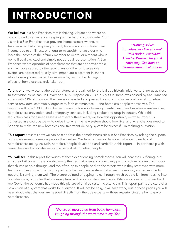# INTRODUCTION

We believe in a San Francisco that is thriving, vibrant and where no one is forced to experience sleeping on the hard, cold concrete. Our vision is a San Francisco that prevents homelessness whenever feasible – be that a temporary subsidy for someone who loses their income due to an illness, or a long-term subsidy for an elder who loses the income of their family member to death, or a tenant who is being illegally evicted and simply needs legal representation. A San Francisco where episodes of homelessness that are not preventable, such as those caused by the recent fires or other unforeseeable events, are addressed quickly with immediate placement in shelter while housing is secured within six months, before the damaging effects of homelessness truly take root.

*"Nothing solves homelessness like a home" —Paul Boden, Executive Director Western Regional Advocacy, Coalition on Homelessness Co-Founder*

To this end, we wrote, gathered signatures, and qualified for the ballot a historic initiative to bring us as close to that vision as we can. In November 2018, Proposition C - Our City Our Home, was passed by San Francisco voters with 61% of the vote. The campaign was led and passed by a strong, diverse coalition of homeless service providers, community organizers, faith communities — and homeless people themselves. The measure will raise \$300 million for permanent, affordable housing, mental health and substance use services, homelessness prevention, and emergency services, including shelter and drop-in centers. While this legislation calls for a needs assessment every three years, we took this opportunity — while Prop. C is contested in a court battle — to delve into what the new system should look like, and what changes need to happen to make the new homeless and treatment delivery system be successful in realizing our vision.

This report presents how we can best address the homelessness crisis in San Francisco by asking the experts on homelessness: homeless people themselves. We turn to them as decision makers and leaders of homelessness policy. As such, homeless people developed and carried out this report — in partnership with researchers and advocates — for the benefit of homeless people.

You will see in this report the voices of those experiencing homelessness. You will hear their suffering, but also their brilliance. There are also many themes that arise and collectively paint a picture of a revolving door that churns people through, and too often, spits people back to the streets where they start over, with more trauma and less hope. The picture painted of a treatment system that when it is serving, and accessible to people, is serving them well. The picture painted of gaping holes through which people fall from housing into homelessness, but holes that are easily fixed with appropriate investments. While we collected this feedback pre-Covid, the pandemic has made this picture of a failed system crystal clear. This report paints a picture of a new vision of a system that works for everyone. It will not be easy, it will take work, but in these pages you will hear about what changes are needed directly from the true experts — those experiencing the hellscape of homelessness.

> *"We are all messed up from being homeless. I'm going through the worst time in my life."*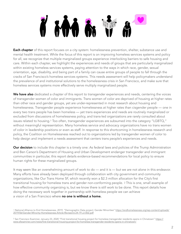# 

Each chapter of this report focuses on a city system: homelessness prevention, shelter, substance use and mental health treatment. While the focus of this report is on improving homeless services systems and policy for all, we recognize that multiple marginalized groups experience interlocking barriers to safe housing and care. Within each chapter, we highlight the experiences and needs of groups that are particularly marginalized within existing homeless services systems, paying attention to the ways in which race, gender, sexual orientation, age, disability, and being part of a family can cause entire groups of people to fall through the cracks of San Francisco's homeless services systems. This needs assessment will help policymakers understand the prevalence of and institutional solutions to the homelessness crisis in San Francisco, and make sure that homeless services systems more effectively serve multiply marginalized people.

<span id="page-4-2"></span>We have also dedicated a chapter of this report to transgender experiences and needs, centering the voices of transgender women of color and immigrants. Trans women of color are deprived of housing at higher rates than other race and gender groups, yet are under-represented in most research about housing and homelessness. Transgender people experience homelessness at higher rates than cisgender people — one in every two trans people has been homeless — yet trans experiences and needs are routinely marginalized or excluded from discussions of homelessness policy, and trans-led organizations are rarely consulted about issues related to housing.[1](#page-4-0) Too often, transgender experiences are subsumed into the category "LGBTQ," without meaningful representation. Many homeless service and advocacy organizations have no trans women of color in leadership positions or even as staff. In response to this shortcoming in homelessness research and policy, the Coalition on Homelessness reached out to organizations led by transgender women of color to help design and implement a needs assessment that centers trans people's experiences and needs.

Our decision to include this chapter is a timely one: As federal laws and policies of the Trump Administration and Ben Carson's Department of Housing and Urban Development endanger transgender and immigrant communities in particular, this report details evidence-based recommendations for local policy to ensure human rights for these marginalized groups.

<span id="page-4-3"></span>It may seem like an overwhelming amount of work to do — and it is — but we are not alone in this endeavor. Many efforts have already been deployed through collaboration with city government and community organizations, like Our Trans Home SF, which recently won a \$2.3 million allocation for the City's first transitional housing for homeless trans and gender non-conforming people. [2](#page-4-1) This is one, small example of how effective community organizing is, but we know there is still work to be done. This report details how doing the necessary work together in partnership with homeless people we can achieve a vision of a San Francisco where no one is without a home.

<span id="page-4-0"></span>[1](#page-4-2) National Alliance to End Homelessness, 2019, "Demographic Data project: Gender Minorities" <u>https://endhomelessness.org/wp-content/uploads</u>/ [2019/06/Gender-Minority-Homelessness-Article-Revised-6-24-19-JJ-002.pdf](https://endhomelessness.org/wp-content/uploads/2019/06/Gender-Minority-Homelessness-Article-Revised-6-24-19-JJ-002.pdf)

<span id="page-4-1"></span><sup>2</sup> San Francisco Examiner, January 23, 2020 "First transitional housing project for homeless transgender residents opens in Chinatown" [https://](https://www.sfexaminer.com/news/first-transitional-housing-project-for-homeless-transgender-residents-opens-in-chinatown/) [www.sfexaminer.com/news/first-transitional-housing-project-for-homeless-transgender-residents-opens-in-chinatown/](https://www.sfexaminer.com/news/first-transitional-housing-project-for-homeless-transgender-residents-opens-in-chinatown/)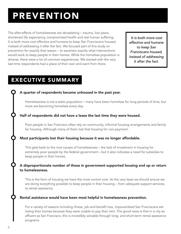# PREVENTION

The after-effects of homelessness are devastating – trauma, lost years, shortened life expectancy, compromised health and real human suffering. It is both more cost effective and humane to keep San Franciscans housed, instead of addressing it after the fact. We focused part of this study on prevention for exactly that reason – to ascertain exactly what interventions would work to keep people in their homes. While the homeless population is diverse, there were a lot of common experiences. We started with the very last time respondents had a place of their own and went from there.

*It is both more cost effective and humane to keep San Franciscans housed, instead of addressing it after the fact.*

## EXECUTIVE SUMMARY

#### A quarter of respondents became unhoused in the past year.

Homelessness is not a static population – many have been homeless for long periods of time, but more are becoming homeless every day.

#### Half of respondents did not have a lease the last time they were housed.

Poor people in San Francisco often rely on community, informal housing arrangements and family for housing. Although many of them lost that housing for non-payment.

#### Most participants lost their housing because it was no longer affordable.

This gets back to the root causes of homelessness – the lack of investment in housing for extremely poor people by the federal government – but it also indicates a need for subsidies to keep people in their homes.

#### A disproportionate number of those in government supported housing end up or return to homelessness.

This is the form of housing we have the most control over. At the very least we should ensure we are doing everything possible to keep people in their housing – from adequate support services, to rental assistance.

#### Rental assistance would have been most helpful in homelessness prevention.

For a variety of reasons including illness, job and benefit loss, impoverished San Franciscans are losing their homes because they were unable to pay their rent. The good news is that in a city as affluent as San Francisco, this is incredibly solvable through long- and short-term rental assistance programs.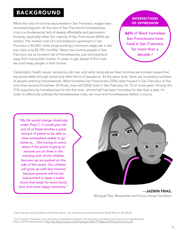### BACKGROUND

While the cost of rent has skyrocketed in San Francisco, wages have remained stagnant. At the root of San Francisco's homelessness crisis is a fundamental lack of deeply affordable and permanent housing, especially when the majority of San Franciscans (65%) are renters. The median cost of a one-bedroom apartment in San Francisco is \$3,450, while those working a minimum wage job in the city make only \$2,702 monthly.[3](#page-6-0) Many low-income people in San Francisco are at constant risk of homelessness, just one paycheck away from losing their homes. In order to get ahead of this crisis, we must keep people in their homes.

#### INTERSECTIONS OF OPPRESSION

<span id="page-6-3"></span>66% of Black homeless San Franciscans have lived in San Francisco for more than a decade.3

<span id="page-6-2"></span>Catastrophic health issues, temporary job loss, and rents rising above fixed incomes are primary causes that are preventable through rental and other forms of assistance. At the same time, there are increasing numbers of people entering homelessness. Most homeless San Franciscans (70%) were housed in San Francisco at the time they became homeless. Of those, over half (55%) lived in San Francisco for 10 or more years. Among the 31% experiencing homelessness for the first time, almost half had been homeless for less than a year.[4](#page-6-1) In order to effectively address the homelessness crisis, we must end homelessness before it occurs.

*"My life would change drastically under Prop C. It would give me and all of these families a great amount of peace to be able to have somewhere stable to go home to… Not having to worry about if the police is going to remove you at three in the morning with all the children because we are parked on the side of the street. Our children will grow up with less traumas because parents will not be overworked to keep a stable home that leads for more family time and more happy memories."*



—JAZMIN FRIAS, Bilingual Peer Researcher and Focus Group Facilitator

<span id="page-6-1"></span><span id="page-6-0"></span><sup>[3](#page-6-2)</sup> San Francisco Housing Needs and Trends Report, San Francisco Housing Needs and Trends Report1–80 (2018).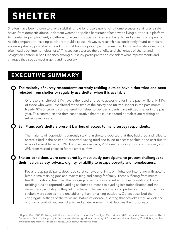# SHELTER

Shelters have been shown to play a stabilizing role for those experiencing homelessness: serving as a safe haven from domestic abuse, inclement weather or police harassment faced when living outdoors, a platform to maintaining employment, a pathway to accessing social services and benefits, and a means of improving health compared to residing outdoors in public space. However, research has consistently found barriers to accessing shelter, poor shelter conditions that fossilize poverty and traumatize clients, and unstable exits that often lead back into homelessness.[5](#page-7-0) This section assesses the benefits and challenges of shelter and navigation centers in San Francisco among our study participants and considers what improvements and changes they see as most urgent and necessary.

### <span id="page-7-1"></span>EXECUTIVE SUMMARY

#### The majority of survey respondents currently residing outside have either tried and been rejected from shelter or regularly use shelter when it is available.

Of those unsheltered, 81% have either used or tried to access shelter in the past, while only 15% of those who were unsheltered at the time of the survey had utilized shelter in the past month. Nearly 40% of currently unsheltered homeless survey participants have utilized shelter in the past year. This contradicts the dominant narrative that most unsheltered homeless are resisting or refusing services outright.

#### San Francisco's shelters present barriers of access to many survey respondents.

The majority of respondents currently staying in shelters reported that they had tried and failed to access a bed in the past: 64% reported having tried and failed to access shelter in the past due to a lack of available beds, 37% due to excessive waits, 29% due to finding it too complicated, and 29% from missed check-in for the strict curfew.

#### Shelter conditions were considered by most study participants to present challenges to their health, safety, privacy, dignity, or ability to escape poverty and homelessness.

Focus group participants described strict curfews and limits on nights-out interfering with getting hired or maintaining jobs and maintaining and caring for family. Those suffering from mental health conditions described the congregate settings as exacerbating their conditions. Those residing outside reported avoiding shelter as a means to evading institutionalization and the dependency and stigma they felt it entailed. The limits on pets and partners in most of the city's shelters were seen as more destabilizing than remaining outdoors. Others described the congregate settings of shelter as incubators of disease, a setting that provokes regular violence and social conflict between clients, and an environment that deprives them of privacy.

<span id="page-7-0"></span><sup>5</sup>Hopper, Kim, 2003, Reckoning with Homelessness. Cornell University Press. Lyon-Callo, Vincent, 2008, Inequality, Poverty, and Neoliberal Governance: Activist ethnography in the homeless sheltering industry. University of Toronto Press. Gowan, Teresa , 2010, Hobos, Hustlers, and Backsliders: Homeless in San Francisco. University Of Minnesota Press.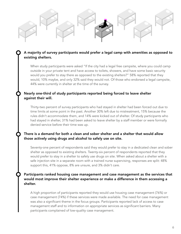#### A majority of survey participants would prefer a legal camp with amenities as opposed to existing shelters.

When study participants were asked "If the city had a legal free campsite, where you could camp outside in your private tent and have access to toilets, showers, and have some basic security would you prefer to stay there as opposed to the existing shelters?" 58% reported that they would, 10% maybe, and only 32% said they would not. Of those who endorsed a legal campsite, 44% were currently in shelter at the time of the survey.

#### Nearly one-third of study participants reported being forced to leave shelter against their will.

Thirty-two percent of survey participants who had stayed in shelter had been forced out due to time limits at some point in the past. Another 30% left due to mistreatment, 15% because the rules didn't accommodate them, and 14% were kicked out of shelter. Of study participants who had stayed in shelter, 31% had been asked to leave shelter by a staff member or were formally denied service before their time was up.

#### There is a demand for both a clean and sober shelter and a shelter that would allow those actively using drugs and alcohol to safely use on site.

Seventy-one percent of respondents said they would prefer to stay in a dedicated clean and sober shelter as opposed to existing shelters. Twenty-six percent of respondents reported that they would prefer to stay in a shelter to safely use drugs on site. When asked about a shelter with a safe injection site in a separate room with a trained nurse supervising, responses are split: 48% support this, 41% oppose, 8% are unsure, and 3% didn't care.

#### Participants ranked housing case management and case management as the services that would most improve their shelter experience or make a difference in them accessing a shelter.

A high proportion of participants reported they would use housing case management (76%) or case management (74%) if these services were made available. The need for case management was also a significant theme in the focus groups. Participants reported lack of access to case management staff and to information on appropriate services as significant barriers. Many participants complained of low-quality case management.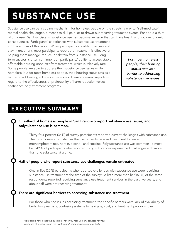# SUBSTANCE USE

Substance use can be a coping mechanism for homeless people on the streets, a way to "self-medicate" mental health challenges, a means to dull pain, or to drown out recurring traumatic events. For about a third of unhoused San Franciscans, substance use has become an issue that can have health and socio-economic

consequences. Participants' experiences with substance use treatment in SF is a focus of this report. When participants are able to access and stay in treatment, most participants report that treatment is effective at helping them manage, reduce, or abstain from substance use. Longterm success is often contingent on participants' ability to access stable, affordable housing upon exit from treatment, which is relatively rare. Some people are able to address their substance use issues while homeless, but for most homeless people, their housing status acts as a barrier to addressing substance use issues. There are mixed reports with regard to the effectiveness or preferability of harm reduction versus abstinence-only treatment programs.

*For most homeless people, their housing status acts as a barrier to addressing substance use issues.*

### EXECUTIVE SUMMARY

#### One-third of homeless people in San Francisco report substance use issues, and polysubstance use is common.

Thirty-four percent (34%) of survey participants reported current challenges with substance use. The most common substances that participants received treatment for were methamphetamines, heroin, alcohol, and cocaine. Polysubstance use was common - almost half (49%) of participants who reported using substances experienced challenges with more than one substance at a time.

#### Half of people who report substance use challenges remain untreated.

One in five (20%) participants who reported challenges with substance use were receiving substance use treatment at the time of the survey\*. A little more than half (51%) of the same respondents reported receiving substance use treatment services in the past five years, and about half were not receiving treatment.

#### There are significant barriers to accessing substance use treatment.

For those who had issues accessing treatment, the specific barriers were lack of availability of beds, long waitlists, confusing systems to navigate, cost, and treatment program rules.

<sup>\*</sup> It must be noted that the question "have you received any services for your

substance of alcohol use in the last 5 years" had a response rate of 85%.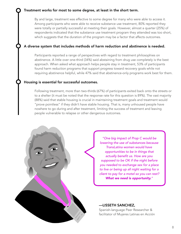#### Treatment works for most to some degree, at least in the short term.

By and large, treatment was effective to some degree for many who were able to access it. Among participants who were able to receive substance use treatment, 80% reported they were totally or partially successful at meeting their goals. However, almost a quarter (25%) of respondents indicated that the substance use treatment program they attended was too short, which suggests that the duration of the program may be a factor that affects outcomes.

#### A diverse system that includes methods of harm reduction and abstinence is needed.

Participants reported a range of perspectives with regard to treatment philosophies on abstinence. A little over one-third (34%) said abstaining from drug use completely is the best approach. When asked what approach helps people stay in treatment, 53% of participants found harm reduction programs that support progress toward recovery goals while not requiring abstinence helpful, while 47% said that abstinence-only programs work best for them.

#### Housing is essential for successful outcomes.

Following treatment, more than two-thirds (67%) of participants exited back onto the streets or to a shelter (it must be noted that the response rate for this question is 89%). The vast majority (88%) said that stable housing is crucial in maintaining treatment goals and treatment would "prove pointless" if they didn't have stable housing. That is, many unhoused people have nowhere to go during and after treatment, limiting the success of treatment and leaving people vulnerable to relapse or other dangerous outcomes.



*"One big impact of Prop C would be lowering the use of substances because TransLatina women would have opportunities to be in things that actually benefit us. How are you supposed to be OK if the night before you needed to exchange sex for a place to live or being up all night waiting for a client to pay for a motel so you can rest? What we need is opportunity."*

—LISSETH SANCHEZ, Spanish-language Peer Researcher & facilitator of Mujeres Latinas en Acción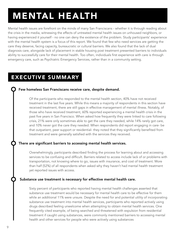# MENTAL HEALTH

Mental health issues are forefront on the minds of many San Franciscans - whether it is through reading about the crisis in the media, witnessing the effects of untreated mental health issues on unhoused neighbors, or having experienced it yourself - no one can deny the existence of the problem. Study participants' experience with the mental health system is a focus of this report. We found that few who need services are getting the care they deserve, facing capacity, bureaucratic or cultural barriers. We also found that the lack of dual diagnosis care, alongside lack of placement in stable housing post treatment presented barriers to individuals ability to successfully care for their mental health. Too often, individuals first experience with care is through emergency care, such as Psychiatric Emergency Services, rather than in a community setting.

### EXECUTIVE SUMMARY

#### Few homeless San Franciscans receive care, despite demand.

Of the participants who responded to the mental health section, 40% have not received treatment in the last five years. While this means a majority of respondents in this section have received treatment, there are still gaps in effective management of mental illness. Notably, of those who have received treatment, 60% reported experiencing a mental health crisis in the past five years in San Francisco. When asked how frequently they were linked to care following crisis, 21% were only sometimes able to get the care they needed, while 14% rarely got care, and 10% never got the care they needed. When respondents did report engaging in care- be that outpatient, peer support or residential- they noted that they significantly benefited from treatment and were generally satisfied with the services they received.

#### There are significant barriers to accessing mental health services.

Overwhelmingly, participants described finding the process for learning about and accessing services to be confusing and difficult. Barriers related to access include lack of or problems with transportation, not knowing where to go, issues with insurance, and cost of treatment. More than half (52%) of all respondents when asked why they haven't had mental health treatment yet reported issues with access.

#### Substance use treatment is necessary for effective mental health care.

Sixty percent of participants who reported having mental health challenges asserted that substance use treatment would be necessary for mental health care to be effective for them while an additional 11% were unsure. Despite the need for and potential utility of incorporating substance use treatment into mental health services, participants who reported actively using drugs described feeling unwelcome when attempting to obtain mental health services. One frequently cited example, of being searched and threatened with expulsion from residential treatment if caught using substances, were commonly mentioned barriers to accessing mental health and other services for people who were actively using substances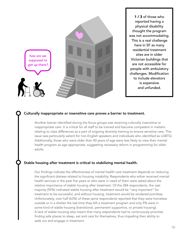

1 / 3 of those who reported having a physical disability thought the program was not accommodating. This is a real challenge here in SF as many residential treatment sites are in older Victorian buildings that are not accessible for people with ambulatory challenges. Modification to include elevators is expensive and unfunded.

#### Culturally inappropriate or insensitive care proves a barrier to treatment.

Another barrier identified during the focus groups was receiving culturally insensitive or inappropriate care. It is critical for all staff to be trained and become competent in matters relating to class differences as a part of ongoing diversity training to ensure sensitive care. This issue was particularly salient for non-English speakers and individuals who identified as LGBTQ. Additionally, those who were older than 40 years of age were less likely to view their mental health program as age appropriate, suggesting necessary reform in programming for older adults.

#### Stable housing after treatment is critical to stabilizing mental health.

Our findings indicate the effectiveness of mental health care treatment depends on reducing the significant distress related to housing instability. Respondents who either received mental health services in the past five years or who were in need of them were asked about the relative importance of stable housing after treatment. Of the 284 respondents, the vast majority (92%) indicated stable housing after treatment would be "very important" for treatment to be successful, and without housing, treatment would be rendered pointless. Unfortunately, over half (63%) of these same respondents reported that they were homeless outside or in a shelter the last time they left a treatment program and only 9% were in some kind of stable housing (transitional, permanent supportive, or private housing). A lack of stable housing also meant that many respondents had to continuously prioritize finding safe places to sleep, eat and care for themselves, thus impeding their ability to seek out and engage in treatment.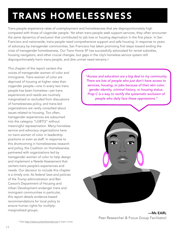# TRANS HOMELESSNESS

Trans people experience rates of unemployment and homelessness that are disproportionately high compared with those of cisgender people. Yet when trans people seek support services, they often encounter the same dynamics of exclusion that contributed to job loss or housing deprivation in the first place. In San Francisco and nationwide, trans people need comprehensive support and safe housing. In response to years of advocacy by transgender communities, San Francisco has taken promising first steps toward ending the crisis of transgender homelessness. Our Trans Home SF has successfully advocated for rental subsidies, housing navigators, and other crucial changes, but gaps in the city's homeless service system still disproportionately harm trans people, and dire unmet need remains.<sup>[6](#page-13-0)</sup>

This chapter of the report centers the voices of transgender women of color and immigrants. Trans women of color are deprived of housing at higher rates than cisgender people—one in every two trans people has been homeless—yet trans experiences and needs are routinely marginalized or excluded from discussions of homelessness policy, and trans-led organizations are rarely consulted about issues related to housing. Too often, transgender experiences are subsumed into the category "LGBTQ" without meaningful representation. Many homeless service and advocacy organizations have no trans women of color in leadership positions or even as staff. In response to this shortcoming in homelessness research and policy, the Coalition on Homelessness partnered with organizations led by transgender women of color to help design and implement a Needs Assessment that centers trans people's experiences and needs. Our decision to include this chapter is a timely one: As federal laws and policies of the Trump administration and Ben Carson's Department of Housing and Urban Development endanger trans and immigrant communities in particular, this report details evidence-based recommendations for local policy to ensure human rights for multiplymarginalized groups.

<span id="page-13-1"></span>*"Access and education are a big deal to my community. There are lots of people who just don't have access to services, housing, or jobs because of their skin color, gender identity, criminal history, or housing status. Prop C is a way to rectify the systematic exclusion of people who daily face these oppressions."*

<span id="page-13-0"></span>

—Ms EARL Peer Researcher & Focus Group Facilitator)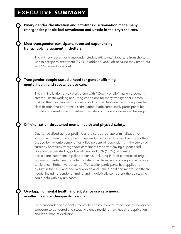### EXECUTIVE SUMMARY

Binary gender classification and anti-trans discrimination made many transgender people feel unwelcome and unsafe in the city's shelters.

#### Most transgender participants reported experiencing transphobic harassment in shelters.

The primary reason for transgender study participants' departure from shelters was to escape mistreatment (39%). In addition, 36% left because they timed out, and 16% were kicked out.

#### Transgender people stated a need for gender-affirming mental health and substance use care.

The criminalization of sex work along with "Quality of Life" law enforcement created unsafe working and living conditions for many transgender women, making them vulnerable to violence and trauma. As in shelters, binary gender classification and anti-trans discrimination made some study participants feel unsafe and unwelcome in treatment facilities or made access more challenging.

#### Criminalization threatened mental health and physical safety.

Due to racialized gender profiling and disproportionate criminalization of survival and earning strategies, transgender participants' daily lives were often shaped by law enforcement. Forty-five percent of respondents in the survey of currently homeless transgender participants reported having experienced violence perpetrated by police officers and 33% (13/40) of TransLatinx participants experienced police violence, including in their countries of origin. For many, mental health challenges stemmed from past and ongoing exposure to violence. Eighty-five percent of TransLatinx participants had applied for asylum in the U.S., and had overlapping and unmet legal and mental healthcare needs, including gender-affirming and linguistically competent therapists who could help with asylum cases.

#### Overlapping mental health and substance use care needs resulted from gender-specific trauma.

For transgender participants, mental health issues were often rooted in ongoing exposure to gendered and sexual violence resulting from housing deprivation and labor market exclusion.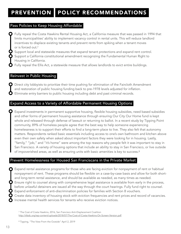### PREVENTION POLICY RECOMMENDATIONS

#### Pass Policies to Keep Housing Affordable

**O** Fully repeal the Costa Hawkins Rental Housing Act, a California measure that was passed in 1994 that limits municipalities' ability to implement vacancy control in rental units. This will reduce landlord incentives to displace existing tenants and prevent rents from spiking when a tenant moves or is forced out[.7](#page-15-0)

<span id="page-15-2"></span>Support local and statewide measures that expand tenant protections and expand rent control. Support a California constitutional amendment recognizing the Fundamental Human Right to Housing in California.

Fully repeal the Ellis Act, a statewide measure that allows landlords to evict entire buildings.

#### Reinvest in Public Housing

Direct city lobbyists to prioritize their time pushing for elimination of the Faircloth Amendment and restoration of public housing funding back to pre-1978 levels adjusted for inflation. Eliminate entry barriers to public housing including debt and past criminal records.

#### Expand Access to a Variety of Affordable Permanent Housing Options

Expand investments in permanent supportive housing, flexible housing subsidies, need based subsidies and other forms of permanent housing assistance through ensuring Our City Our Home fund is kept whole and released through defense of lawsuit or returning to ballot. In a recent study by Tipping Point community, 89% of homeless people agree that the best way to help someone experiencing homelessness is to support their efforts to find a long-term place to live. They also felt that autonomy matters. Respondents ranked basic essentials including access to one's own bathroom and kitchen above even their own safety when asked about important factors they were looking for in housing. Lastly, "family," "job," and "it's home" were among the top reasons why people felt it was important to stay in San Francisco. A variety of housing options that include an ability to stay in San Francisco, or live outside of impoverished areas, as well as ensuring units with basic amenities is key to success.<sup>8</sup>

#### Prevent Homelessness for Housed San Franciscans in the Private Market

<span id="page-15-3"></span>Expand rental assistance programs for those who are facing eviction for nonpayment of rent or habitual nonpayment of rent. These programs should be flexible on a case-by-case basis and allow for both shortand long-term rental assistance, and should be available as needed, as many times as needed.

Ensure right to counsel along with comprehensive legal assistance is available from early in the process, before unlawful detainers are issued all the way through the court hearings. Fully fund right to counsel.

Expand enforcement of anti-discrimination policies for families with Section 8 vouchers.

Create data inventory of housing stock with eviction frequencies and rent prices and record of vacancies. Increase mental health services for tenants who receive eviction notices.

<span id="page-15-1"></span>[8](#page-15-3) Tipping, "The View From the Outside" April 2, 2019

<span id="page-15-0"></span><sup>&</sup>lt;sup>7</sup>The Cost of Costa Hawkins, 2016, San Francisco Anti-Displacement Coalition <http://sfadc.org/wp-content/uploads/2018/07/The-Cost-of-Costa-Hawkins-On-Screen-Version.pdf>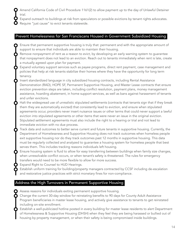- Amend California Code of Civil Procedure 1161(2) to allow payment up to the day of Unlawful Detainer trial.
	- Expand outreach to buildings at risk from speculators or possible evictions by tenant rights advocates.
- Require "just cause" to evict tenants statewide.

#### Prevent Homelessness for San Franciscans Housed in Government Subsidized Housing

- Ensure that permanent supportive housing is truly that: permanent and with the appropriate amount of support to ensure that individuals are able to maintain their housing.
- Remove nonpayment of rent as a reason to evict, by developing an early warning system to guarantee that nonpayment does not lead to an eviction. Reach out to tenants immediately when rent is late, create a mutually agreed upon plan for payment.
- Expand voluntary support services such as payee programs, direct rent payment, case management and policies that help at risk tenants stabilize their homes where they have the opportunity for long term tenancy.
- Insert standardized language in city subsidized housing contracts, including Rental Assistance Demonstration (RAD), HOPE SF, Permanent Supportive Housing, and Master Lease contracts that ensure eviction prevention steps are taken, including conflict resolution, payment plans, money management assistance, hoarding abatement, in home support services, as well as bans against harassment of tenants and unfair evictions.
- Halt the widespread use of unrealistic stipulated settlements (contracts that tenants sign that if they break them they are automatically evicted) that consistently lead to eviction, and ensure when stipulated agreements occur, providers never insert nuisance issues or other terms that could never support a lawful eviction into stipulated agreements or other items that were never an issue in the original eviction. Stipulated settlement agreements must also include the right to a hearing or trial and not lead to immediate eviction with no due process.
- Track data and outcomes to better serve current and future tenants in supportive housing. Currently, the Department of Homelessness and Supportive Housing does not track outcomes when homeless people exit supportive housing nor do they track outcomes past 12 months in supportive housing. This data must be regularly collected and analyzed to guarantee a housing system for homeless people that best serves them. This includes tracking reasons individuals left housing.
- Ensure housing system is fluid to allow for easy transferring between buildings when family size changes, when unresolvable conflict occurs, or when tenant's safety is threatened. The rules for emergency transfers would need to be more flexible to allow for more success.
- Expand Right to Counsel to HUD Hearings.
	- Establish uniform training for building/property managers contracted by CCSF including de-escalation and restorative justice practices with strict monetary fines for non-compliance.

#### Address the High Turnovers in Permanent Supportive Housing

- Assess reasons for individuals exiting permanent supportive housing.
- Change the current 30-day window for reinstating benefits to 90 days for County Adult Assistance Program beneficiaries in master lease housing, and actively give assistance to tenants to get reinstated including on-site enrollment.
- Establish a well-publicized hotline posted in every building for master lease residents to alert Department of Homelessness & Supportive Housing (DHSH) when they feel they are being harassed or bullied out of housing by property management, or when their safety is being compromised inside buildings.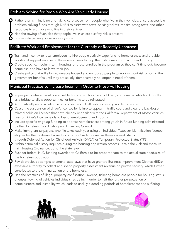#### Problem Solving for People Who Are Vehicularly Housed

Rather than criminalizing and taking curb space from people who live in their vehicles, ensure accessible problem solving funds through DHSH to assist with tows, parking tickets, repairs, smog tests, and other resources to aid those who live in their vehicles.

Halt the towing of vehicles that people live in unless a safety risk is present.

Ensure safe parking is available city wide.

#### Facilitate Work and Employment for the Currently or Recently Unhoused

Train and incentivize local employers to hire people actively experiencing homelessness and provide additional support services to those employees to help them stabilize in both a job and housing.

Create specific, medium- term housing for those enrolled in the program so they can't time out, become homeless, and have to leave their job.

Create policy that will allow vulnerable housed and unhoused people to work without risk of losing their government benefits until they are solidly, demonstrably no longer in need of them.

#### Municipal Practices to Increase Income in Order to Preserve Housing

- In programs where benefits are tied to housing such as Care not Cash, continue benefits for 3 months as a bridge to allow opportunities for benefits to be reinstated.
- Automatically enroll all eligible SSI consumers in CalFresh, increasing ability to pay rent.
- Cease the suspension of driver's licenses for failure to appear in traffic court and clear the backlog of related holds on licenses that have already been filed with the California Department of Motor Vehicles. Loss of Driver's License leads to loss of employment, and housing.
- Include specific *ongoing* funding to address homelessness among youth in future funding administered by the Homeless Coordinating and Financing Council.
- Make immigrant taxpayers, who file taxes each year using an Individual Taxpayer Identification Number, eligible for the California Earned Income Tax Credit, as well as those on work status
- through Deferred Action for Childhood Arrivals (DACA) or Temporary Protected Status (TPS).
- Prohibit criminal history inquiries during the housing application process—scale the Oakland measure, Fair Housing Ordinance, up to the state level.
- Push for federal HUD funding awarded to California to be proportionate to the actual state need/size of the homeless population.
- Revisit previous attempts to amend state laws that have granted Business Improvement Districts (BIDs) excessive authority to collect and spend property assessment revenue on private security, which further contributes to the criminalization of the homeless.
- Halt the practices of illegal property confiscation, sweeps, ticketing homeless people for housing status offenses, towing of vehicles individuals reside in, in order to halt the further perpetuation of homelessness and instability which leads to unduly extending periods of homelessness and suffering.

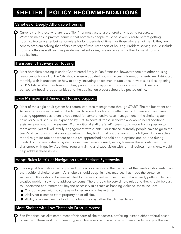## SHELTER | POLICY RECOMMENDATIONS

#### Varieties of Deeply Affordable Housing

Currently, only those who are rated Tier 1, or most acute, are offered any housing resources. What this means in practical terms is that homeless people must be severely acute before getting housing, typically after being homeless for long periods of time. For those who are not Tier 1, they are sent to problem solving that offers a variety of resources short of housing. Problem solving should include housing offers as well, such as private market subsidies, or assistance with other forms of housing applications.

#### Transparent Pathways to Housing

Most homeless housing is under Coordinated Entry in San Francisco, however there are other housing resources outside of it. The City should ensure updated housing access information sheets are distributed monthly, with instructions on how to apply, including below market rate units, private subsidies, opening of HCV lists in other Bay Area Counties, public housing application spots and so forth. Clear and transparent housing opportunities and the application process should be posted online.

#### Case Management Aimed at Housing Support

Most of the single adult system has centralized case management through START (Shelter Treatment and Access to Resources Team) but it is limited to a small portion of shelter clients. If there are transparent housing opportunities, there is not a need for comprehensive case management in the shelter system, however START should be expanded by 30% to serve all those in shelter who would need additional assistance navigating the system. With additional staff the START team could move from a passive to more active, yet still voluntarily, engagement with clients. For instance, currently people have to go to the team's office hours or make an appointment. They find out about the team through flyers. A more active model might include one where people are approached and told about options one-on-one during meals. For the family shelter system, case management already exists, however there continues to be challenges with quality. Additional regular training and supervision with formal reviews from clients would help address these issues.

#### Adopt Rules Matrix of Navigation to All Shelters Systemwide

The original Navigation Center proved to be a popular model that better met the needs of its clients than the traditional shelter system. All shelters should adopt its rules matrices that made the center so successful. Rules should be re-evaluated for necessity, and remove those that are overly petty, while using creative problem solving to address concerns. There should be very simple rules and they should be easy to understand and remember. Beyond necessary rules such as banning violence, these include:

- 24-hour access with no curfews or forced morning leave times.
- Ability for clients to store property on or off site.
- Ability to access healthy food throughout the day rather than limited times.

#### More Shelter with Low Threshold Drop-In Access

San Francisco has eliminated most of this form of shelter access, preferring instead either referral based or wait list. These work for different types of homeless people – those who are able to navigate the wait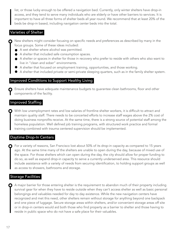list, or those lucky enough to be offered a navigation bed. Currently, only winter shelters have drop-in access, and they tend to serve many individuals who are elderly or have other barriers to services. It is important to have all three forms of shelter beds all year round. We recommend that at least 20% of the beds be drop-in based, including navigation center beds into the total.

#### Varieties of Shelter

- New shelters might consider focusing on specific needs and preferences as described by many in the focus groups. Some of these ideas included:
	- A wet shelter where alcohol was permitted.
	- A shelter that included safe consumption spaces.
	- A shelter or spaces in shelter for those in recovery who prefer to reside with others who also want to live in "clean and sober" environments.
	- A shelter that focused on employment training, opportunities, and those working.
	- A shelter that included private or semi-private sleeping quarters, such as in the family shelter system.

#### Improved Conditions to Support Healthy Living

Ensure shelters have adequate maintenance budgets to guarantee clean bathrooms, floor and other components of the facility.

#### Improved Staffing

With low unemployment rates and low salaries of frontline shelter workers, it is difficult to attract and maintain quality staff. There needs to be concerted efforts to increase staff wages above the 2% cost of doing business nonprofits receive. At the same time, there is a strong source of potential staff among the homeless population. Well defined job training programs, with structured work practice and formal training combined with trauma centered supervision should be implemented.

#### Daytime Drop-In Centers

For a variety of reasons, San Francisco lost about 50% of its drop-in capacity as compared to 15 years ago. At the same time many of the shelters are unable to open during the day, because of mixed use of the space. For those shelters which can open during the day, the city should allow for proper funding to do so, as well as expand drop-in capacity to serve a currently underserved area. This resource should include assistance with a variety of needs from securing identification, to holding support groups as well as access to showers, bathrooms and storage.

#### **Storage Facilities**

A major barrier for those entering shelter is the requirement to abandon much of their property including survival gear for when they have to reside outside when they can't access shelter as well as basic personal belongings and valuables needed for day to day existence. While the new navigation centers have recognized and met this need, other shelters remain without storage for anything beyond one backpack and one piece of luggage. Secure storage areas within shelters, and/or convenient storage areas off site or in drop-in centers would aid both those who find property as a barrier to shelter and those having to reside in public space who do not have a safe place for their valuables.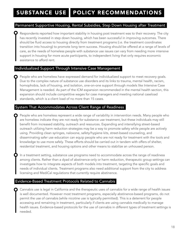#### Permanent Supportive Housing, Rental Subsidies, Step Down Housing after Treatment

Respondents reported how important stability in housing post treatment was to their recovery. The city has recently invested in step down housing, which has been successful in improving outcomes. There should be fluid access to housing directly from treatment programs (i.e. the treatment coordinates transition into housing) to promote long term success. Housing should be offered at a range of levels of care, as the needs of homeless people with substance use issues can vary from needing more intensive support in housing for more acute participants, to independent living that only requires economic assistance to afford rent.

#### Individualized Support Through Intensive Case Management

People who are homeless have expressed demand for individualized support to meet recovery goals. Due to the complex nature of substance use disorders and its links to trauma, mental health, racism, homophobia, lack of housing, and isolation, one-on-one support through models like Intensive Case Management is needed. As part of the ICM expansion recommended in the mental health section, this expansion should include competitive wages for case managers and meeting national caseload standards, which is a client load of no more than 15 cases.

#### System That Accommodates Across Client Range of Readiness

People who are homeless represent a wide range of variability in intervention needs. Many people who are homeless indicate they are not ready for substance use treatment, but these individuals may still benefit from increased stability, outreach and resources. Expanding and intensifying street-based outreach utilizing harm reduction strategies may be a way to promote safety while people are actively using. Providing clean syringes, naloxone, safety/hygiene kits, street-based counseling, and disseminating safer use education can equip people who are not ready for treatment with the tools and knowledge to use more safely. These efforts should be carried out in tandem with offers of shelter, residential treatment, and housing options and other means to stabilize an unhoused person.

In a treatment setting, substance use programs need to accommodate across the range of readiness among clients. Rather than a dyad of abstinence-only or harm reduction, therapeutic group settings can investigate how to integrate aspects of both models into treatment, targeting the specific goals and needs of individual clients. Treatment programs also need additional support from the city to address licensing and MediCal regulations that currently require abstinence.

#### Evidence-Based Treatment Protocols Related to Cannabis

Cannabis use is legal in California and the therapeutic uses of cannabis for a wide range of health issues is well documented. However most treatment programs, especially abstinence-based programs, do not permit the use of cannabis (while nicotine use is typically permitted). This is a deterrent for people accessing and remaining in treatment, particularly if clients are using cannabis medically to manage health issues. Evidence-based protocols for the use of cannabis in different types of treatment settings is needed.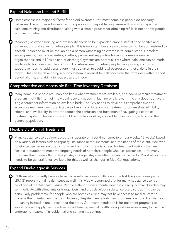#### Expand Naloxone Kits and Refills

**O** Homelessness is a major risk factor for opioid overdose. Yet, most homeless people do not carry naloxone. The number is low even among people who report having issues with opioids. Expanded naloxone training and distribution, along with a simple process for obtaining refills, is needed for people who are homeless.

Moreover, naloxone training and availability needs to be expanded among staff at specific sites and organizations that serve homeless people. This is important because naloxone cannot be administered to oneself - naloxone must be available to a person witnessing an overdose to administer it. Homeless encampments, navigation centers, shelters, permanent supportive housing, homeless service organizations, and jail (inside and at discharge) systems are potential sites where naloxone can be made available to homeless people and staff. For sites where homeless people have privacy, such as in supportive housing, additional efforts must be taken to avoid fatal overdoses of those alone in their rooms. This can be developing a buddy system, a request for call back from the front desk within a short period of time, and ability to request safety checks.

#### Comprehensive and Accessible Real Time Inventory Database

Many homeless people are unable to know what treatments are available, and how a particular treatment program might fit into their individual recovery needs. In fact, no one knows — the city does not have a single source for information on available beds. The City needs to develop a comprehensive and accessible real time inventory database of existing substance use treatment program slots, eligibility criteria, and availability, in order to reduce the confusion and frustration of navigating a complex treatment system. This database should be available online, accessible to service providers, and the general population.

#### Flexible Duration of Treatment

Many substance use treatment programs operate on a set timeframes (e.g. four weeks, 12 weeks) based on a variety of factors such as capacity, insurance reimbursements, and the needs of the client. However, substance use issues are often chronic and ongoing. There is a need for treatment options that are flexible in duration to meet the ongoing needs of homeless people who use substances — for many programs that means offering longer stays. Longer stays are often not reimbursable by MediCal, so there needs to be general funds available for this, as well as changes in MediCal regulations.

#### Expand Dual-diagnosis Services

O Of those who currently have or have had a substance use challenge in the last five years, one-quarter (25.7%) report mental health issues as well. It is widely recognized that for many, substance use is a condition of mental health issues. People suffering from a mental health issue (e.g. bipolar disorder) may self-medicate with stimulants or tranquilizers, and thus develop a substance use disorder. This can be particularly problematic for people who are homeless, who may not have access to medical care to manage their mental health issues. However, despite many efforts, few programs are truly dual diagnosis — leaning instead in one direction or the other. Our recommendation is for treatment programs to investigate and apply best practices for addressing mental health, along with substance use, for people undergoing treatment in residential and community settings.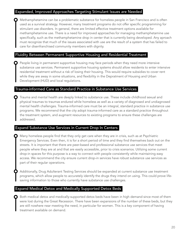#### Expanded, Improved Approaches Targeting Stimulant Issues are Needed

Methamphetamine can be a problematic substance for homeless people in San Francisco and is often used as a survival strategy. However, many treatment programs do not offer specific programming for stimulant use disorders. In general, there are limited effective treatment options available for methamphetamine use. There is a need for improved approaches for managing methamphetamine use specifically, such as the methamphetamine drop in center that is currently being developed. Any aproach must recognize that much of the issues associated with use are the result of a system that has failed to care for disenfranchised community members with dignity.

#### Fluidity Between Permanent Supportive Housing and Residential Treatment

People living in permanent supportive housing may face periods when they need more intensive substance use services. Permanent supportive housing systems should allow residents to enter intensive residential treatment without a risk of losing their housing. This would require subsidies to cover rent while they are away in some situations, and flexibility in the Depratment of Housing and Urban Development (HUD) and local regulations.

#### Trauma-informed Care as Standard Practice in Substance Use Services

Trauma and mental health are deeply linked to substance use. These include childhood sexual and physical traumas to traumas endured while homeless as well as a variety of diagnosed and undiagnosed mental health challenges. Trauma-informed care must be an integral, standard practice in substance use programs. We recommend that the city adopt trauma-informed care as a standard practice throughout the treatment system, and augment resources to existing programs to ensure these challenges are addressed.

#### Expand Substance Use Services in Current Drop In Centers

Many homeless people find that they only get care when they are in crisis, such as at Psychiatric Emergency Services. Even then, it is for a short period of time and they find themselves back out on the streets. It is important that there are peer-based and professional substance use services that meet people where they are at and that are easily accessible, prior to crisis scenarios. Utilizing some current drop-in spaces for this purpose is a way to connect with people consistently while maintaining easy access. We recommend the city ensure current drop-in services have robust substance use services as part of their regular operations.

Additionally, Drug Adulterant Testing Services should be expanded at current substance use treatment programs, which allow people to accurately identify the drugs they intend on using. This could prove lifesaving information to those who currently have substance use challenges.

#### Expand Medical Detox and Medically Supported Detox Beds

Both medical detox and medically-supported detox beds have been in high demand since most of them were lost during the Great Recession. There have been expansions of the number of these beds, but they are still nowhere near meeting the need, in particular for women. This is a key component of having treatment available on demand.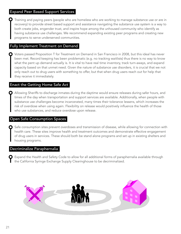#### Expand Peer Based Support Services

Training and paying peers (people who are homeless who are working to manage substance use or are in recovery) to provide street based support and assistance navigating the substance use system is a way to both create jobs, engender trust, and inspire hope among the unhoused community who identify as having substance use challenges. We recommend expanding existing peer programs and creating new programs to serve underserved communities.

#### Fully Implement Treatment on Demand

Voters passed Proposition T for Treatment on Demand in San Francisco in 2008, but this ideal has never been met. Record keeping has been problematic (e.g. no tracking waitlists) thus there is no way to know what the pent up demand actually is. It is vital to have real time inventory, track turn-aways, and expand capacity based on that unmet need. Given the nature of substance use disorders, it is crucial that we not only reach out to drug users with something to offer, but that when drug users reach out for help that they receive it immediately.

#### Enact the Getting Home Safe Act

Allowing Sheriffs to discharge inmates during the daytime would ensure releases during safer hours, and times of the day when transportation and support services are available. Additionally, when people with substance use challenges become incarcerated, many times their tolerance lessens, which increases the risk of overdose when using again. Flexibility on release would positively influence the health of those who use substances, and reduce overdose upon release.

#### Open Safe Consumption Spaces

Safe consumption sites prevent overdoses and transmission of disease, while allowing for connection with health care. These sites improve health and treatment outcomes and demonstrate effective engagement of drug users in services. These should both be stand alone programs and set up in existing shelters and housing programs.

#### Decriminalize Paraphernalia

Expand the Health and Safety Code to allow for all additional forms of paraphernalia available through the California Syringe Exchange Supply Clearinghouse to be decriminalized.

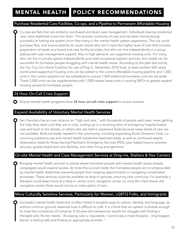#### Purchase Residential Care Facilities, Co-ops, and a Pipeline to Permanent Affordable Housing

Co-ops are flats that are rented or purchased and share case management. Individuals leaving residential care, once stabilized move into them. This ensures continuity of care and has been tremendously successful at halting the system churn that many in the mental health system experience. The city could purchase flats, and ensure stability for acute clients who don't need the higher level of care that includes preparation of meals as a board and care facility provides, but who can live independently in a group setting with case management support. Also in high demand, are supportive housing units. For many, who can live in private spaces independently and need occasional support services, this model can be successful for homeless people struggling with mental health issues. According to the plan laid out by the Our City Our Home Coalition for use of Prop C, November 2018 fund, at least another 500 newly constructed supportive housing units can be added to the current affordable housing pipeline and 1,500 units in the current pipeline can be subsidized to ensure 1,500 additional homeless units are set aside. These 2,000 units can be supplemented with 1,000 master lease units in existing SRO's to greatly expand housing access for homeless people.

#### 24 Hour On-Call Crisis Support

 $\bigcirc$  Ensure mental health programs have 24 hour on-call crisis support to ensure success.

#### Expand Availability of Voluntary Mental Health Services

San Francisco has an over reliance on "high end care," with thousands of people each year, never getting the help they need until they are in crisis, ending up in a revolving door of emergency hospital based care and back to the streets, or others who are held in expensive beds because lower levels of care are not available. Beds are badly needed in the community, including expanding Acute Diversion Units, cooccurring substance use and mental health residential treatment beds, as well as continued respite, observation beds for those leaving Psychiatric Emergency Services (PES), peer based trauma recovery services, quality board and care facilities, and other living arrangements.

#### On-site Mental Health and Case Management Services at Drop-ins, Shelters & Nav Centers

Bringing mental health services to places where homeless people with mental health issues already congregate would expand access. At times the survival mode that homeless people are in compounded by mental health disabilities prevents people from keeping appointments or navigating complicated processes. These services could be available as drop-in services, ensuring care continuity. For example a therapist could keep hours at a drop-in center and a navigation center, so once the client leaves the navigation center there would not be an interruption of care.

#### More Culturally Sensitive Services, Particularly for Women, LGBTQ Folks, and Immigrants

Successful mental health treatment is often linked in tangible ways to culture, identity, and language, as without common ground, essential trust is difficult to craft. It is critical that our system is diverse enough to meet the complexity of humanity. A 53 year-old transwoman recalls her struggle with finding a therapist who fits her needs: "Accessing care is impossible; I cannot see a male therapist... [my] biggest barrier is feeling safe and finding an appropriate provider. "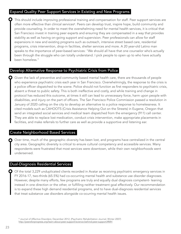#### Expand Quality Peer Support Services in Existing and New Programs

<span id="page-25-1"></span>This should include improving professional training and compensation for staff. Peer support services are often more effective than clinical services<sup>9</sup>. Peers can develop trust, inspire hope, build community and provide counseling. In order to meet the overwhelming need for mental health services, it is critical that San Francisco invest in training peer experts and ensuring they are compensated in a way that provides stability as well as having on-going support and supervision. Peer professionals can allow for staff expansions in new and existing programs such as outreach, intensive street based care, residential programs, crisis intervention, drop-in facilities, shelter services and more. A 20 year-old Latino man speaks to the importance of peer-based services: "We should all have that one counselor who's actually been through the struggle who can totally understand. I pick people to open up to who have actually been homeless."

#### Develop Alternative Response to Psychiatric Crisis from Police

Given the lack of preventive and community based mental health care, there are thousands of people who experience psychiatric crisis each year in San Francisco. Overwhelmingly, the response to the crisis is a police officer dispatched to the scene. Police should not function as first responders to psychiatric crisis, absent a threat to public safety. This is both ineffective and costly, and while training and change in protocol has reduced this outcome, at times it still can lead to unnecessary force, harm upon people with disabilities, and injury on the part of officers. The San Francisco Police Commission passed a resolution in January of 2020 calling on the city to develop an alternative to a police response to homelessness. It cited models such as CAHOOTS (Crisis Assistance Helping Out on the Streets) in Eugene, Oregon that send an integrated social services and medical team dispatched from the emergency (911) call center. They are able to replace lost medication, conduct crisis intervention, make appropriate placements in facilities, and make referrals to further care as well as provide a supportive and listening ear.

#### Create Neighborhood Based Services

Over time, much of the geographic diversity has been lost, and programs have centralized in the central city area. Geographic diversity is critical to ensure cultural competency and accessible services. Many respondents were frustrated that most services were downtown, while their own neighborhoods went underserved.

#### Dual-Diagnosis Residential Services

Of the total 3,229 unduplicated clients recorded in Avatar as receiving psychiatric emergency services in FY 2016-17, two-thirds (65.5%) had co-occurring mental health and substance use disorder diagnoses. However, despite many efforts, few programs are truly and equally dual diagnosis competent- leaning instead in one direction or the other, or fulfilling neither treatment goal effectively. Our recommendation is to expand these high demand residential programs, and to have dual-diagnosis residential services that treat substance use disorders alongside co-ocurring mental health issues.

<span id="page-25-0"></span>Journal of Affective Disorders; December 2012, (Psychiatric Rehabilitation Journal; Winter 2007) [9](#page-25-1) [http://peersforprogress.org/learn-about-peer-support/science-behind-peer-support/#MH](http://peersforprogress.org/learn-about-peer-support/science-behind-peer-support/%23MH)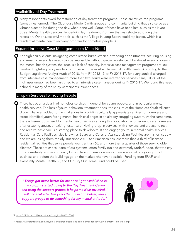#### Availability of Day Treatment

Many respondents asked for restoration of day treatment programs. These are structured programs (sometimes termed, "The Clubhouse Model") with groups and community building that also serve as a vibrant place to be during the day, when done well. Some of these have been lost, such as the Hyde Street Mental Health Services Tenderloin Day Treatment Program that was shuttered during the recession. Other successful models, such as the Village in Long Beach could replicated, which is a residential mental health recovery program for homeless people[.10](#page-26-0)

#### <span id="page-26-2"></span>Expand Intensive Case Management to Meet Need

 $\bigcirc$  For high acuity clients, navigating complicated bureaucracies, attending appointments, securing housing and meeting every day needs can be impossible without special assistance. Like almost every problem in the mental health system, the issue is a lack of capacity. Intensive case management programs are lowcaseload high-frequency models for those with the most acute mental health needs. According to the Budget Legislative Analyst Audit of 2018, from FY 2012-13 to FY 2016-17, for every adult discharged from intensive case management, more than two adults were referred for services. Only 10.9% of the high user group had been assigned to an intensive case manager during FY 2016-17. We found this need echoed in many of the study participants' experiences.

#### Drop-in Services for Young People

There has been a dearth of homeless services in general for young people, and in particular mental health services. The loss of youth behavioral treatment beds, the closure of the Homeless Youth Alliance drop-in, have all added to the challenges in providing culturally appropriate services for homeless and street identified youth facing mental health challenges in an already struggling system. At the same time, there is tremendous need for mental health services among this population who frequently are homeless after escaping abuse, or exiting foster care. Having drop-in services, with showers, and a place to rest and receive basic care is a starting place to develop trust and engage youth in mental health services. Residential Care Facilities, also known as Board and Cares or Assisted Living Facilities are in short supply and we are losing them rapidly. But since 2012, San Francisco has lost more than a third of licensed residential facilities that serve people younger than 60, and more than a quarter of those serving older clients[.11](#page-26-1) These are critical parts of our systems, often family run and extremely underfunded, that the city must assertively ensure continuity by purchasing them as soon as there is wind of one going out of business and before the buildings go on the market whenever possible. Funding from ERAF, and eventually Mental Health SF, and Our City Our Home Fund could be used.

<span id="page-26-3"></span>*"Things got much better for me once I got established in the co-op. I started going to the Day Treatment Center*  and using the support groups; it helps me clear my mind. I *still find that after five years that I function better, using support groups to do something for my mental attitude."*



<span id="page-26-0"></span>[10](#page-26-2) [https://211la.org/211search/more?site\\_id=1066210004](https://211la.org/211search/more?site_id=1066210004)

<span id="page-26-1"></span>[11](#page-26-3) <https://www.sfchronicle.com/bayarea/article/SF-board-and-care-homes-for-seriously-mentally-13766754.php>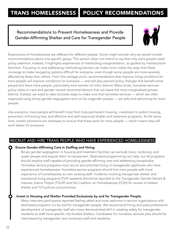### TRANS HOMELESSNESS POLICY RECOMMENDATIONS

#### Recommendations to Prevent Homelessness and Provide Gender-Affirming Shelter and Care for Transgender People



Experiences of homelessness are different for different people. Some might wonder why we would include recommendations about one specific group. This section does not intend to say that only trans people need policy attention. Instead, it highlights experiences of interlocking marginalization, as guided by intersectional feminism. Focusing on and addressing interlocking barriers can make more visible the ways that these converge to make navigating systems difficult for everyone, even though some people are more severely affected by these than others. From this vantage point, recommendations that improve living conditions for trans people will improve conditions for everyone — and will also prevent policy changes that benefit some people but leave trans people, particularly trans women of color, behind. Many times, homeless services policy relies on race and gender neutral recommendations that can leave the most marginalized groups behind. Instead, we need to take concrete steps to make sure that homeless services — which are often organized using binary gender segregation and run by cisgender people — are safe and welcoming for trans people.

Like everyone, trans people will benefit most from truly permanent housing, investment in public housing, prevention of housing loss, and effective and well-resourced shelter and treatment programs. At the same time, certain provisions are necessary to ensure that these work for trans people — which means they will work better for everyone.

#### RECRUIT AND HIRE TRANS PEOPLE WHO HAVE EXPERIENCED HOMELESSNESS

#### Ensure Gender-Affirming Care in Staffing and Hiring.

Binary gender segregation in housing and treatment facilities can exclude trans, nonbinary, and queer people and expose them to harassment. Dedicated programming can help, but all programs should employ staff capable of providing gender-affirming care and addressing transphobia. Homeless service programs must recruit and prioritize hiring of transgender applicants who have experienced homelessness. Homeless service programs should hire trans people with lived experience of homelessness to train existing staff. Incidents involving transgender shelter and transitional living programs (TLP) residents should be reported to the Transgender Gender-Varient & Intersex Justice Project (TGIJP) and the Coalition on Homelessness (COH) for review of related shelter and TLP policies and practices.

#### Invest in Housing and Shelter Provided Exclusively by and for Transgender People.

Many interview participants reported feeling safest and most welcome in service organizations with dedicated programs run by and for transgender people. We recommend hiring and paid professional development of transgender staff who have demonstrated skill in creating safety for transgender residents to staff trans-specific city-funded shelters. Candidates for homeless services jobs should be interviewed by transgender and nonbinary staff and residents.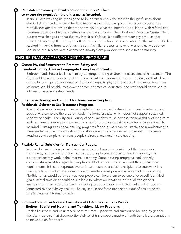#### Reinstate community referral placement for Jazzie's Place to ensure the population there is trans, as intended.

Jazzie's Place was originally designed to be a trans friendly shelter, with thoughtfulness about physical design and allowance for fluidity of gender inside the space. The access process was carefully designed to ensure that the space would serve the intended population, with referral and placement outside of typical shelter sign up time at Mission Neighborhood Resource Center. That process was changed so that the way into Jazzie's Place is no different from any other shelter when beds open up there they are offered to the entire homeless population on the waitlist. This has resulted in moving from its original mission. A similar process as to what was originally designed should be put in place with placement authority from providers who serve this community.

#### ENSURE TRANS ACCESS TO EXISTING PROGRAMS

#### Create Physical Structures to Promote Safety and Gender-Affirming Care in Congregate Living Environments.

Bathroom and shower facilities in many congregate living environments are sites of harassment. The city should create gender-neutral and more private bathroom and shower options, dedicated safe spaces for transgender residents, and other changes to physical structure. In the meantime, trans residents should be able to shower at different times as requested, and staff should be trained to address privacy and safety needs.

#### Long Term Housing and Support for Transgender People in Residential Substance Use Treatment Programs.

A lack of available housing forces residential substance use treatment programs to release most people who complete the program back into homelessness, which does not support sustained sobriety or health. The City and County of San Francisco must increase the availability of long-term and permanent housing to improve outcomes for drug users, making sure trans people are fully included. Existing transitional housing programs for drug users can be unsafe and unwelcoming to transgender people. The City should collaborate with transgender run organizations to create housing transition plans for trans people's direct placement in safe housing.

#### Flexible Rental Subsidies for Transgender People.

Income documentation for subsidies can present a barrier to members of the transgender community, particularly formerly incarcerated people and undocumented immigrants, who disproportionately work in the informal economy. Some housing programs inadvertently discriminate against transgender people and block educational attainment through income requirements. It is counterproductive to force transgender subsidy recipients to seek work in a low-wage labor market where discrimination renders most jobs unavailable and unwelcoming. Flexible rental subsidies for transgender people can help them to pursue diverse self-identified goals. Rental subsidies should be available for whatever locations individual transgender applicants identify as safe for them, including locations inside and outside of San Francisco, if requested by the subsidy-seeker: The city should not force trans people out of San Francisco simply because it is unaffordable.

#### Improve Data Collection and Evaluation of Outcomes for Trans People in Shelters, Subsidized Housing and Transitional Living Programs.

Track all evictions and voluntary departures from supportive and subsidized housing by gender identity. Programs that disproportionately evict trans people must work with trans-led organizations to make a plan for reform.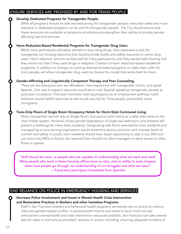#### ENSURE SERVICES ARE PROVIDED BY AND FOR TRANS PEOPLE

#### Develop Dedicated Programs for Transgender People.

While all programs should be safe and welcoming for transgender people, many feel safest and most welcome in dedicated programs run by and for transgender people. The City should ensure that these resources are available as programs simultaneously strengthen their ability to provide genderaffirming care and services.

#### Harm Reduction-Based Residential Programs for Transgender Drug Users.

While many participants ultimately wanted to stop using drugs, they expressed a wish for transgender-run housing resources that would provide health and safety resources to active drug users. Harm reduction services worked well for many participants, and they wanted safe housing that they would not lose if they used drugs or relapsed. Creation of harm reduction-based residential programs, in addition to changes to existing abstinence-based programs to make them safer for trans people, will allow transgender drug users to choose the model that works best for them.

#### Gender-Affirming and Linguistically Competent Therapy and Peer Counseling.

There are few therapists who are affordable, have experience with transgender clients, and speak Spanish. One way to expand resources would be to train Spanish-speaking transgender people as paid peer counselors. Paid peer counselor training programs as an employment pathway could enhance mental health resources as well as job security for Trans people, particularly Latinx immigrants.

#### Trans-Only Floors of Single Room Occupancy Hotels for Dorm-Style Communal Living.

Many transgender women rely on Single Room Occupancy hotel rooms as a safer alternative to the city's shelter system. However, binary gender segregation of single-sex bathrooms and showers still present a challenge for many trans residents. Designating safe floors reserved for trans residents and managed by a trans-serving organization would streamline service provision and increase levels of comfort and safety. Crucially, trans residents should have equal opportunity to stay in any SRO (not just trans-only SROs or floors); the reserved floor should not allow managers to deny access to other floors or spaces.

*"Staff should be trans, or people who are capable of understanding what we want and need. Many people who work in these housing offices have no idea, and no ability to even imagine, what trans people go through; no understanding of our struggles and what we need." —TransLatina participant (translated from Spanish)* 

#### END RELIANCE ON POLICE IN EMERGENCY HOUSING AND SERVICES

 Decrease Police Involvement and Invest in Mental Health Crisis Intervention and Restorative Practices in Shelters and other homeless Programs.

Staff in San Francisco shelters and behavioral health programs sometimes rely on police to enforce rules and gender-related conflict. It would prevent trauma and arrest to have more non-law enforcement mental health and crisis intervention resources available. San Francisco can take several specific steps to end service providers' reliance on police, including: ensuring adequate numbers of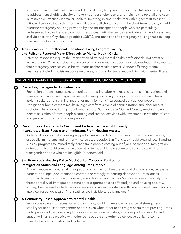staff trained in mental health crisis and de-escalation; hiring non-transphobic staff who are equipped to address transphobic behavior among cisgender shelter users; and training shelter staff and users in Restorative Practices in smaller shelters. Investing in smaller shelters with higher staff to client ratios will support these changes, and will benefit all shelter users. In the short term, the city should prioritize emergency housing provided by and for transgender people who are particularly underserved by San Francisco's existing resources. Until shelters can eradicate anti-trans harassment and violence, the City should prioritize LGBTQ and trans-specific emergency housing that can keep trans and nonbinary people safe.

#### Transformation of Shelter and Transitional Living Program Training and Policy to Respond More Effectively to Mental Health Crisis.

Effective responses require the intervention of trained mental health professionals, not arrest or incarceration. While participants and service providers want support for crisis resolution, they worried that emergency services could be traumatic and/or result in arrest. Gender-affirming mental healthcare, including crisis response resources, is crucial for trans people living with mental illness.

#### PREVENT TRANS EXCLUSION AND BUILD ON COMMUNITY STRENGTH

#### Preventing Transgender Homelessness.

Prevention of trans homelessness requires addressing labor market exclusion, criminalization, antitrans discrimination, and legal barriers to housing, including immigration status for many trans asylum seekers and a criminal record for many formerly incarcerated transgender people. Transgender homelessness results in large part from a cycle of criminalization and labor market exclusion. To prevent transgender homelessness, San Francisco City and County must combine decriminalization of trans people's earning and survival activities with investment in creation of safe living-wage jobs for transgender people.

#### Develop Local Programs to Circumvent Federal Exclusion of Formerly Incarcerated Trans People and Immigrants From Housing Access.

As federal policies make housing support increasingly difficult to access for transgender people, especially immigrants and formerly incarcerated people, San Francisco should expand local housing subsidy programs to immediately house trans people coming out of jails, prisons and immigration detention. This could serve as an alternative to federal funding sources to ensure survival for transgender people who are ineligible for federal aid.

#### San Francisco's Housing Policy Must Center Concerns Related to Immigration Status and Language Among Trans People.

Among people without legal immigration status, the combined effects of discrimination, language barriers, and legal documentation contributed strongly to housing deprivation. TransLatinas struggled to secure work and housing, even despite San Francisco's status as a sanctuary city. The threat or reality of immigration detention or deportation also affected job and housing security, limiting the degree to which people were able to access assistance with basic survival needs. As one interview respondent said, "TransLatinas are invisible to policymakers."

#### A Community-Based Approach to Mental Health.

Supportive spaces for recreation and community-building are a crucial source of strength and stability for unhoused transgender people, even when other needs might seem more pressing. Trans participants said that spending time doing recreational activities, attending cultural events, and engaging in artistic practice with other trans people strengthened collective ability to confront transphobia, discrimination and violence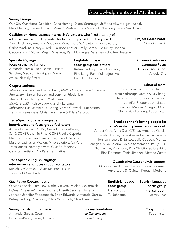### Acknowledgments and Attributions

#### Survey Design:

Our City Our Home Coalition, Chris Herring, Dilara Yarbrough, Jeff Kositsky, Margot Kushel, Mark Fleming, Kelsey Ludwig, Maria X Martinez, Kaki Marshall, Pike Long, Jamie Suki Chang

English-language

Earl, Tee Hoatson

focus group facilitation:

Kelsey Ludwig, Olivia Glowacki, Pike Long, Rani Mukherjee, Ms

Coalition on Homelessness Interns & Volunteers, who filled a variety of

roles like surveying, taking notes for focus groups, and inputting raw data: Alexa Flickinge, Amanda Wheelock, Anna Laura S. Quintal, Brian Edwards, Carlos Wadkins, Darcy Allred, Ella-Rose Kessler, Emily Garcia, Flo Kelley, Johnna Gadomski, KC Mukai, Mirjam Washuus, Rani Mukherjee, Sara Delucchi, Tee Hoatson

#### Spanish-language focus group facilitation:

Armando Garcia, Juan Garcia, Lisseth Sanchez, Madison Rodriguez, Maria Aviles, Nathaly Rivera

#### Chapter authors:

*Introduction*: Jennifer Friedenbach, *Methodology*: Olivia Glowacki *Prevention*: Samantha Lew and Jennifer Friedenbach *Shelter*: Chris Herring and Mark Fleming *Mental Health*: Kelsey Ludwig and Pike Long *Substance Use*: Jamie Suki Chang, Olivia Glowacki, Kat Saxton *Trans Homelessness*: Chris Hanssmann & Dilara Yarbrough

#### Trans-Specific Spanish-language interviewers and focus group facilitators:

Armando Garcia, COHSF, Cesar Espinoza-Perez, SJI & COHSF, Jazmin Frias, COHSF, Julia Cepeda, Martinez, El/La Para TransLatinas, Lisseth Sanchez, Mujeres Latinas en Acción, Mike Solorio El/La Para TransLatinas, Nathaly Rivera, COHSF, Sthefany Galante Bautista El/La Para TransLatinas

#### Trans-Specific English-language interviewers and focus group facilitators:

Mielah McCormick, TGIJP, Ms. Earl, TGIJP, Treasure L'Oreal Earle

#### Qualitative Research design:

Olivia Glowacki, Sam Lew, Nathaly Rivera, Mielah McCormick, L'Oreal "Treasure" Earle, Ms. Earl, Lisseth Sanchez, Janetta Johnson Jennifer Friedenbach, Brian Edwards, Armando Garcia, Kelsey Ludwig, Pike Long, Dilara Yarbrough, Chris Hanssmann

#### Survey translation to Spanish:

Armando Garcia, Cesar Espinoza-Perez, Kelsey Ludwig

# Thanks to the following people for

Trans-Specific implementation support:

Amber Gray, Anita Durt O'Shea, Armando Garcia, Camdyn Carter, Essie Alexandra Garcia, Janetta Johnson, Jessy D'Santos, Julia Cepeda, Maritza Penagos, Mike Solorio, Nicole Santamaria, Pauly Ruiz, Phanny Lun, Pike Long, Riya Christie, Sofia Sabina Rios Dorantes, Tania Jimenez, Victoria Castro

#### Quantitative Data analysis support:

Olivia Glowacki, Tee Hoatson, Drew Hockman, Anna Laura S. Quintal, Keegan Medrano

> focus group transcription: TJ Johnston

Survey translation to Cantonese: Flora Kuang

Spanish-language focus group transcription: Jazmin Frias

> Copy Editing: TJ Johnston

Chinese Cantonese Language Focus Group Facilitation: Angela Chu

Project Coordinator:

Olivia Glowacki

#### Editorial team:

Chris Hanssmann, Chris Herring, Dilara Yarbrough, Jamie Suki Chang, Janetta Johnson, Jason Albertson, Jennifer Friedenbach, Lisseth Sanchez, Maritza Penagos, Olivia Glowacki, Pike Long, TJ Johnston

# English-language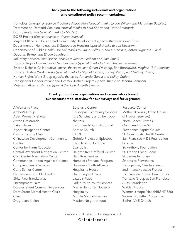#### Thank you to the following individuals and organizations who contributed policy recommendations:

Homeless Emergency Service Providers Association *(special thanks to Joe Wilson and Mary-Kate Bacalao)*  Treatment on Demand Coalition *(special thanks to Sara Shortt and Javier Bremond)*  Drug Users Union *(special thanks to Ms. Ian)*  DOPE Project *(Special thanks to Kristen Marshall)*  Mayor's Office on Housing and Community Development *(special thanks to Brian Chiu)*  Department of Homelessness & Supportive Housing *(special thanks to Jeff Kositsky)*  Department of Public Health *(special thanks to Grant Colfax, Maria X Martinez, Anton Niguesse-Bland, Deborah Borne, and Eileen Loughran)*  Voluntary Services First *(special thanks to Jessica Lenham and Raia Small)* Housing Rights Committee of San Francisco *(special thanks to Fred Sherbern-Zimmer)* Eviction Defense Collaborative *(special thanks to Leah Simon-Weisberg, Ben Buczkowski, Meghan "RK" Johnson)* Housing Justice Work Group *(special thanks to Miguel Carrera, Tracey Mixon, and Nathaly Rivera)*  Human Rights Work Group *(special thanks to Armando Garcia and Kelley Cutler)*  Transgender Gender-variant and Intersex Justice Project *(special thanks to Janetta Johnson)*  Mujeres Latinas en Accion *(special thanks to Lisseth Sanchez)*

#### Thank you to these organizations and venues who allowed our researchers to interview for our surveys and focus groups:

A Woman's Place Amber's Group Asian Women's Shelter At the Crossroads Baker Places Bryant Navigation Center Castro Country Club Chinatown Development Community **Center** Center for Harm Reduction Central Waterfront Navigation Center Civic Center Navigation Center Communities United Against Violence Compass Family Services Curry Senior Center Department of Public Health El/La Para TransLatinas Encampment Fairs Dolores Street Community Services Dore Street Mental Health Crisis Clinic Drug Users Union

Epiphany Center Episcopal Community Services (the Sanctuary and Next Door shelters) First Friendship Institutional Baptist Church GLIDE Gubbio Project at Episcopal Church of St. John the Evangelist Haight Street Referral Center Hamilton Families Homeless Prenatal Program Homeless Youth Alliance Hospitality House Hummingbird Place Jazzie's Place Larkin Youth Youth Services Martin de Porres House of Hospitality Mobile Methadone Van Mission Neighborhood

Resource Center Mother Brown's (United Council of Human Services) North Beach Citizens Our Trans Home SF Providence Baptist Church SF Community Health Center San Francisco AIDS Foundation Groups St. Anthony Foundation St. Francis Living Room St. James Infirmary Swords to Plowshares Transgender, Gender-variant and Intersex Justice Project Tom Waddell Urban Health Clinic TransLife Group at San Francisco AIDS Foundation Walden House Women's Hope (HealthRIGHT 360) Women's Shelter Program at Bethel AME Church